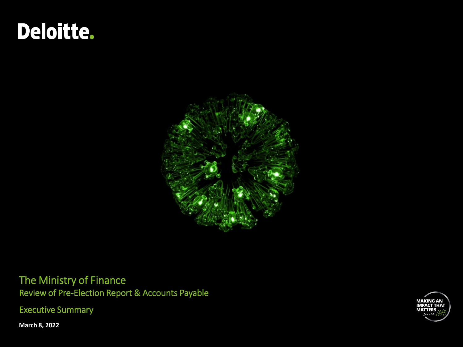# Deloitte.



The Ministry of Finance Review of Pre-Election Report & Accounts Payable

Executive Summary



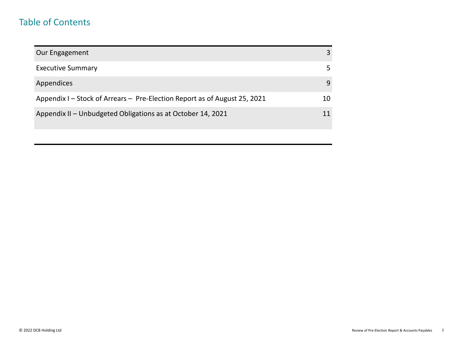### Table of Contents

| Our Engagement                                                            |    |
|---------------------------------------------------------------------------|----|
| <b>Executive Summary</b>                                                  |    |
| Appendices                                                                | 9  |
| Appendix I - Stock of Arrears - Pre-Election Report as of August 25, 2021 | 10 |
| Appendix II - Unbudgeted Obligations as at October 14, 2021               |    |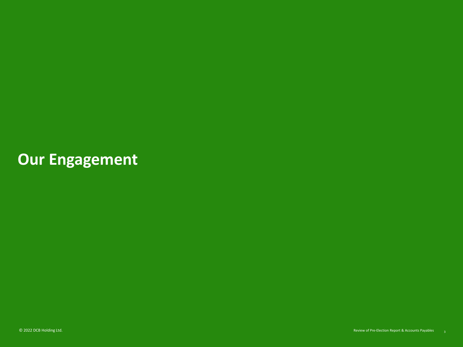## **Our Engagement**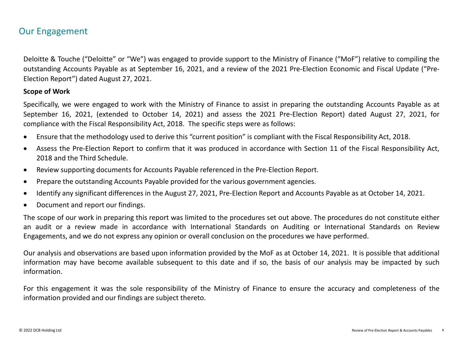### Our Engagement

Deloitte & Touche ("Deloitte" or "We") was engaged to provide support to the Ministry of Finance ("MoF") relative to compiling the outstanding Accounts Payable as at September 16, 2021, and a review of the 2021 Pre-Election Economic and Fiscal Update ("Pre-Election Report") dated August 27, 2021.

#### **Scope of Work**

Specifically, we were engaged to work with the Ministry of Finance to assist in preparing the outstanding Accounts Payable as at September 16, 2021, (extended to October 14, 2021) and assess the 2021 Pre-Election Report) dated August 27, 2021, [for](#page-11-0) compliance with the Fiscal Responsibility Act, 2018. The specific steps were as follows:

- Ensure that the methodology used to derive this "current position" is compliant with the Fiscal Responsibility Act, 2018.
- Assess the Pre-Election Report to confirm that it was produced in accordance with Section 11 of the Fiscal Responsibility Act, 2018 and the Third Schedule.
- Review supporting documents for Accounts Payable referenced in the Pre-Election Report.
- Prepare the outstanding Accounts Payable provided for the various government agencies.
- Identify any significant differences in the August 27, 2021, Pre-Election Report and Accounts Payable as at October 14, 2021.
- Document and report our findings.

The scope of our work in preparing this report was limited to the procedures set out above. The procedures do not constitute either an audit or a review made in accordance with International Standards on Auditing or International Standards on Review Engagements, and we do not express any opinion or overall conclusion on the procedures we have performed.

Our analysis and observations are based upon information provided by the MoF as at October 14, 2021. It is possible that additional information may have become available subsequent to this date and if so, the basis of our analysis may be impacted by such information.

For this engagement it was the sole responsibility of the Ministry of Finance to ensure the accuracy and completeness of the information provided and our findings are subject thereto.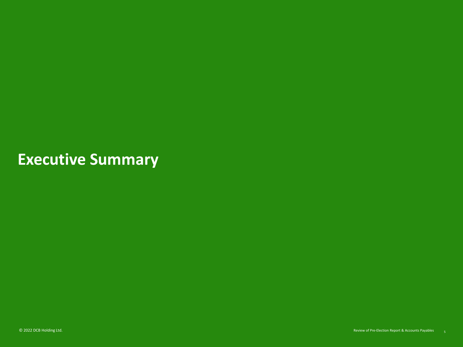## **Executive Summary**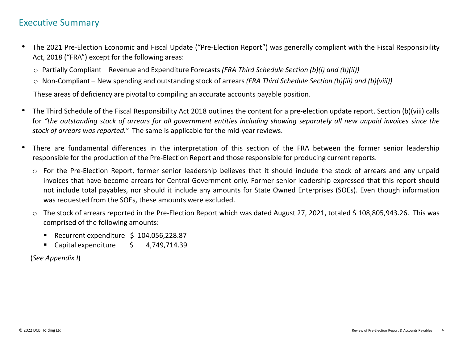### Executive Summary

- The 2021 Pre-Election Economic and Fiscal Update ("Pre-Election Report") was generally compliant with the Fiscal Responsibility Act, 2018 ("FRA") except for the following areas:
	- o Partially Compliant Revenue and Expenditure Forecasts *(FRA Third Schedule Section (b)(i) and (b)(ii))*
	- o Non-Compliant New spending and outstanding stock of arrears *(FRA Third Schedule Section (b)(iii) and (b)(viii))*

These areas of deficiency are pivotal to compiling an accurate accounts payable position.

- The Third Schedule of the Fiscal Responsibility Act 2018 outlines the content for a pre-election update report. Section (b)(viii) calls for "[the](#page-11-0) outstanding stock of arrears for all government entities including showing separately all new unpaid invoices since the *stock of arrears was reported."* The same is applicable for the mid-year reviews.
- There are fundamental differences in the interpretation of this section of the FRA between the former senior leadership responsible for the production of the Pre-Election Report and those responsible for producing current reports.
	- o For the Pre-Election Report, former senior leadership believes that it should include the stock of arrears and any unpaid invoices that have become arrears for Central Government only. Former senior leadership expressed that this report should not include total payables, nor should it include any amounts for State Owned Enterprises (SOEs). Even though information was requested from the SOEs, these amounts were excluded.
	- $\circ$  The stock of arrears reported in the Pre-Election Report which was dated August 27, 2021, totaled \$ 108,805,943.26. This was comprised of the following amounts:
		- Recurrent expenditure \$ 104,056,228.87
		- Capital expenditure \$ 4,749,714.39

(*See Appendix I*)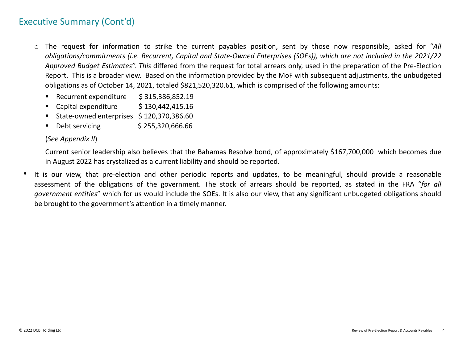## Executive Summary (Cont'd)

- o The request for information to strike the current payables position, sent by those now responsible, asked for "*All* obligations/commitments (i.e. Recurrent, Capital and State-Owned Enterprises (SOEs)), which are not included in the 2021/22 *Approved Budget Estimates". This* differed from the request for total arrears only, used in the preparation of the Pre-Election Report. This is a broader view. Based on the information provided by the MoF with subsequent adjustments, the unbudgeted obligations as of October 14, 2021, totaled \$821,520,320.61, which is comprised of the following amounts:
	- Recurrent expenditure \$315,386,852.19
	- Capital expenditure  $\qquad \qquad$  \$ 130,442,415.16
	- State-owned enterprises \$120,370,386.60
	- $\blacksquare$  Debt servicing  $\blacksquare$  \$ 255,320,666.66

#### (*See Appendix II*)

Current senior leadership also believes that the Bahamas Resolve bond, of approximately \$167,700,000 which becomes due in August 2022 has crystalized as a current liability and should be reported.

• It is our view, that pre-election and other periodic reports and updates, to be meaningful, should provide a reasonable assessment of the obligations of the government. The stock of arrears should be reported, as stated in the FRA "*for all government entities*" which for us would include the SOEs. It is also our view, that any significant unbudgeted obligations should be brought to the government's attention in a timely manner.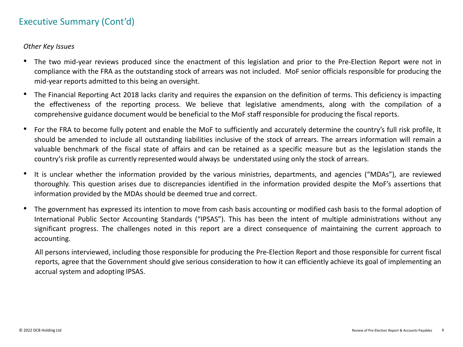## Executive Summary (Cont'd)

*Other Key Issues*

- The two mid-year reviews produced since the enactment of this legislation and prior to the Pre-Election Report were not in compliance with the FRA as the outstanding stock of arrears was not included. MoF senior officials responsible for producing the mid-year reports admitted to this being an oversight.
- The Financial Reporting Act 2018 lacks clarity and requires the expansion on the definition of terms. This deficiency is impacting the effectiveness of the reporting process. We believe that legislative amendments, along with the compilation of a comprehensive guidance document would be beneficial to the MoF staff responsible for producing the fiscal reports.
- For the FRA to become fully potent and enable the MoF to sufficiently and accurately determine the country's full risk profil[e,](#page-11-0) It should be amended to include all outstanding liabilities inclusive of the stock of arrears. The arrears information will remain a valuable benchmark of the fiscal state of affairs and can be retained as a specific measure but as the legislation stands the country's risk profile as currently represented would always be understated using only the stock of arrears.
- It is unclear whether the information provided by the various ministries, departments, and agencies ("MDAs"), are reviewed thoroughly. This question arises due to discrepancies identified in the information provided despite the MoF's assertions that information provided by the MDAs should be deemed true and correct.
- The government has expressed its intention to move from cash basis accounting or modified cash basis to the formal adoption of International Public Sector Accounting Standards ("IPSAS"). This has been the intent of multiple administrations without any significant progress. The challenges noted in this report are a direct consequence of maintaining the current approach to accounting.

All persons interviewed, including those responsible for producing the Pre-Election Report and those responsible for current fiscal reports, agree that the Government should give serious consideration to how it can efficiently achieve its goal of implementing an accrual system and adopting IPSAS.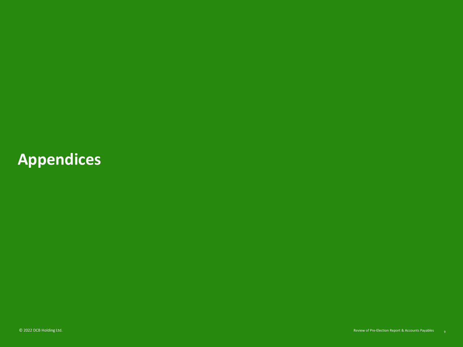## **Appendices**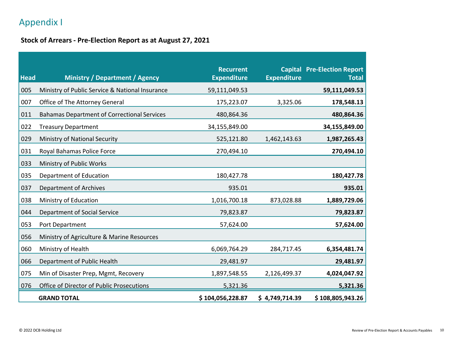## Appendix I

#### **Stock of Arrears - Pre-Election Report as at August 27, 2021**

| <b>Head</b> | <b>Ministry / Department / Agency</b>              | <b>Recurrent</b><br><b>Expenditure</b> | <b>Expenditure</b> | <b>Capital Pre-Election Report</b><br><b>Total</b> |
|-------------|----------------------------------------------------|----------------------------------------|--------------------|----------------------------------------------------|
| 005         | Ministry of Public Service & National Insurance    | 59,111,049.53                          |                    | 59,111,049.53                                      |
| 007         | Office of The Attorney General                     | 175,223.07                             | 3,325.06           | 178,548.13                                         |
| 011         | <b>Bahamas Department of Correctional Services</b> | 480,864.36                             |                    | 480,864.36                                         |
| 022         | <b>Treasury Department</b>                         | 34,155,849.00                          |                    | 34,155,849.00                                      |
| 029         | Ministry of National Security                      | 525,121.80                             | 1,462,143.63       | 1,987,265.43                                       |
| 031         | Royal Bahamas Police Force                         | 270,494.10                             |                    | 270,494.10                                         |
| 033         | Ministry of Public Works                           |                                        |                    |                                                    |
| 035         | Department of Education                            | 180,427.78                             |                    | 180,427.78                                         |
| 037         | <b>Department of Archives</b>                      | 935.01                                 |                    | 935.01                                             |
| 038         | Ministry of Education                              | 1,016,700.18                           | 873,028.88         | 1,889,729.06                                       |
| 044         | Department of Social Service                       | 79,823.87                              |                    | 79,823.87                                          |
| 053         | Port Department                                    | 57,624.00                              |                    | 57,624.00                                          |
| 056         | Ministry of Agriculture & Marine Resources         |                                        |                    |                                                    |
| 060         | Ministry of Health                                 | 6,069,764.29                           | 284,717.45         | 6,354,481.74                                       |
| 066         | Department of Public Health                        | 29,481.97                              |                    | 29,481.97                                          |
| 075         | Min of Disaster Prep, Mgmt, Recovery               | 1,897,548.55                           | 2,126,499.37       | 4,024,047.92                                       |
| 076         | Office of Director of Public Prosecutions          | 5,321.36                               |                    | 5,321.36                                           |
|             | <b>GRAND TOTAL</b>                                 | \$104,056,228.87                       | \$4,749,714.39     | \$108,805,943.26                                   |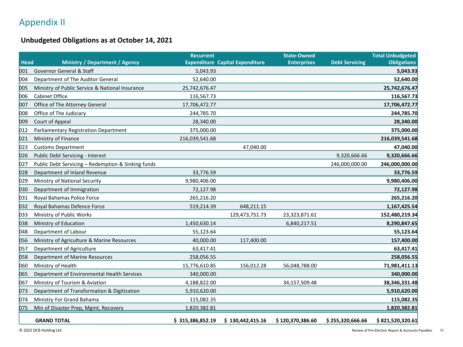## Appendix II

#### **Unbudgeted Obligations as at October 14, 2021**

|             |                                                    | <b>Recurrent</b> |                                        | <b>State-Owned</b> |                       | <b>Total Unbudgeted</b> |
|-------------|----------------------------------------------------|------------------|----------------------------------------|--------------------|-----------------------|-------------------------|
| <b>Head</b> | <b>Ministry / Department / Agency</b>              |                  | <b>Expenditure Capital Expenditure</b> | <b>Enterprises</b> | <b>Debt Servicing</b> | <b>Obligations</b>      |
| 001         | Governor General & Staff                           | 5,043.93         |                                        |                    |                       | 5,043.93                |
| 004         | Department of The Auditor General                  | 52,640.00        |                                        |                    |                       | 52,640.00               |
| 005         | Ministry of Public Service & National Insurance    | 25,742,676.47    |                                        |                    |                       | 25,742,676.47           |
| 006         | <b>Cabinet Office</b>                              | 116,567.73       |                                        |                    |                       | 116,567.73              |
| 007         | Office of The Attorney General                     | 17,706,472.77    |                                        |                    |                       | 17,706,472.77           |
| 008         | Office of The Judiciary                            | 244,785.70       |                                        |                    |                       | 244,785.70              |
| 009         | Court of Appeal                                    | 28,340.00        |                                        |                    |                       | 28,340.00               |
| 012         | Parliamentary Registration Department              | 375,000.00       |                                        |                    |                       | 375,000.00              |
| 021         | Ministry of Finance                                | 216,039,541.68   |                                        |                    |                       | 216,039,541.68          |
| 023         | <b>Customs Department</b>                          |                  | 47,040.00                              |                    |                       | 47,040.00               |
| 026         | Public Debt Servicing - Interest                   |                  |                                        |                    | 9,320,666.66          | 9,320,666.66            |
| 027         | Public Debt Servicing - Redemption & Sinking funds |                  |                                        |                    | 246,000,000.00        | 246,000,000.00          |
| 028         | Department of Inland Revenue                       | 33,776.59        |                                        |                    |                       | 33,776.59               |
| 029         | Ministry of National Security                      | 9,980,406.00     |                                        |                    |                       | 9,980,406.00            |
| 030         | Department of Immigration                          | 72,127.98        |                                        |                    |                       | 72,127.98               |
| 031         | Royal Bahamas Police Force                         | 265,216.20       |                                        |                    |                       | 265,216.20              |
| 032         | Royal Bahamas Defence Force                        | 519,214.39       | 648,211.15                             |                    |                       | 1,167,425.54            |
| 033         | Ministry of Public Works                           |                  | 129,473,751.73                         | 23,323,871.61      |                       | 152,480,219.34          |
| 038         | Ministry of Education                              | 1,450,630.14     |                                        | 6,840,217.51       |                       | 8,290,847.65            |
| 048         | Department of Labour                               | 55,123.64        |                                        |                    |                       | 55,123.64               |
| 056         | Ministry of Agriculture & Marine Resources         | 40,000.00        | 117,400.00                             |                    |                       | 157,400.00              |
| 057         | Department of Agriculture                          | 63,417.41        |                                        |                    |                       | 63,417.41               |
| 058         | Department of Marine Resources                     | 258,056.55       |                                        |                    |                       | 258,056.55              |
| 060         | Ministry of Health                                 | 15,776,610.85    | 156,012.28                             | 56,048,788.00      |                       | 71,981,411.13           |
| 065         | Department of Environmental Health Services        | 340,000.00       |                                        |                    |                       | 340,000.00              |
| 067         | Ministry of Tourism & Aviation                     | 4,188,822.00     |                                        | 34,157,509.48      |                       | 38,346,331.48           |
| 073         | Department of Transformation & Digitization        | 5,910,620.00     |                                        |                    |                       | 5,910,620.00            |
| 074         | Ministry For Grand Bahama                          | 115,082.35       |                                        |                    |                       | 115,082.35              |
| 075         | Min of Disaster Prep, Mgmt, Recovery               | 1,820,382.81     |                                        |                    |                       | 1,820,382.81            |
|             | <b>GRAND TOTAL</b>                                 | \$315,386,852.19 | \$130,442,415.16                       | \$120,370,386.60   | \$255,320,666.66      | \$821,520,320.61        |